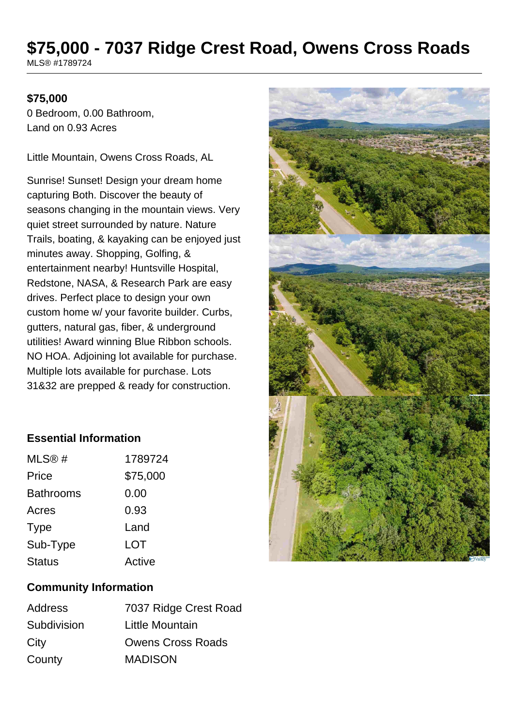# **\$75,000 - 7037 Ridge Crest Road, Owens Cross Roads**

MLS® #1789724

#### **\$75,000**

0 Bedroom, 0.00 Bathroom, Land on 0.93 Acres

Little Mountain, Owens Cross Roads, AL

Sunrise! Sunset! Design your dream home capturing Both. Discover the beauty of seasons changing in the mountain views. Very quiet street surrounded by nature. Nature Trails, boating, & kayaking can be enjoyed just minutes away. Shopping, Golfing, & entertainment nearby! Huntsville Hospital, Redstone, NASA, & Research Park are easy drives. Perfect place to design your own custom home w/ your favorite builder. Curbs, gutters, natural gas, fiber, & underground utilities! Award winning Blue Ribbon schools. NO HOA. Adjoining lot available for purchase. Multiple lots available for purchase. Lots 31&32 are prepped & ready for construction.

## **Essential Information**

| MLS®#            | 1789724    |
|------------------|------------|
| Price            | \$75,000   |
| <b>Bathrooms</b> | 0.00       |
| Acres            | 0.93       |
| <b>Type</b>      | Land       |
| Sub-Type         | <b>LOT</b> |
| <b>Status</b>    | Active     |
|                  |            |

## **Community Information**

| <b>Address</b> | 7037 Ridge Crest Road    |
|----------------|--------------------------|
| Subdivision    | Little Mountain          |
| City           | <b>Owens Cross Roads</b> |
| County         | <b>MADISON</b>           |